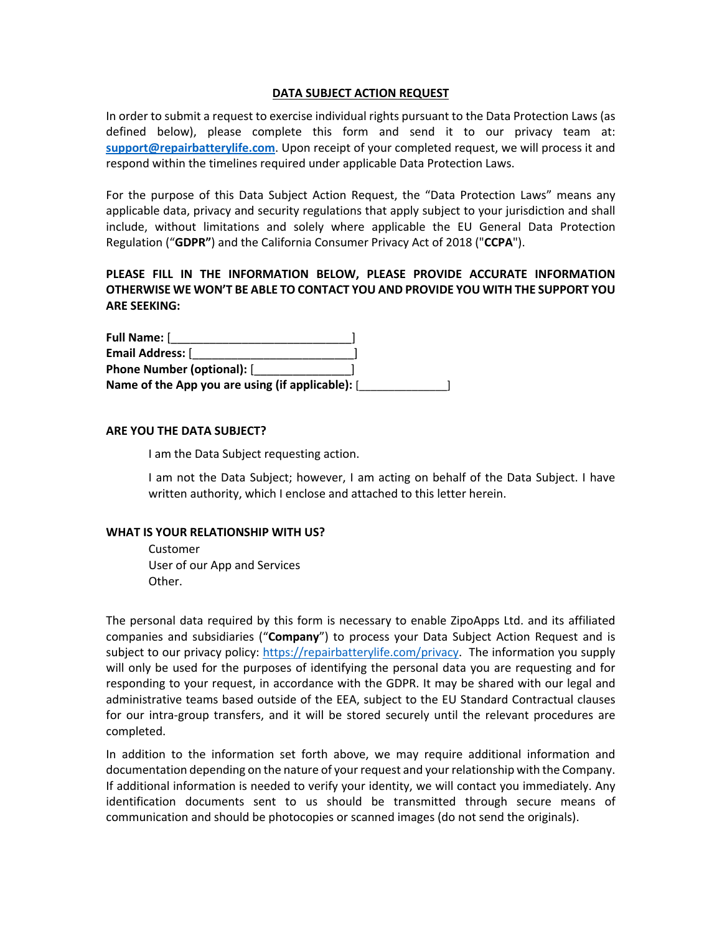### **DATA SUBJECT ACTION REQUEST**

In order to submit a request to exercise individual rights pursuant to the Data Protection Laws (as defined below), please complete this form and send it to our privacy team at: **support@repairbatterylife.com**. Upon receipt of your completed request, we will process it and respond within the timelines required under applicable Data Protection Laws.

For the purpose of this Data Subject Action Request, the "Data Protection Laws" means any applicable data, privacy and security regulations that apply subject to your jurisdiction and shall include, without limitations and solely where applicable the EU General Data Protection Regulation ("**GDPR"**) and the California Consumer Privacy Act of 2018 ("**CCPA**").

# **PLEASE FILL IN THE INFORMATION BELOW, PLEASE PROVIDE ACCURATE INFORMATION OTHERWISE WE WON'T BE ABLE TO CONTACT YOU AND PROVIDE YOU WITH THE SUPPORT YOU ARE SEEKING:**

| Full Name: [                                     |  |
|--------------------------------------------------|--|
| <b>Email Address:</b> [                          |  |
| <b>Phone Number (optional):</b> [                |  |
| Name of the App you are using (if applicable): [ |  |

#### **ARE YOU THE DATA SUBJECT?**

I am the Data Subject requesting action.

 I am not the Data Subject; however, I am acting on behalf of the Data Subject. I have written authority, which I enclose and attached to this letter herein.

#### **WHAT IS YOUR RELATIONSHIP WITH US?**

 Customer User of our App and Services Other.

The personal data required by this form is necessary to enable ZipoApps Ltd. and its affiliated companies and subsidiaries ("**Company**") to process your Data Subject Action Request and is subject to our privacy policy: https://repairbatterylife.com/privacy. The information you supply will only be used for the purposes of identifying the personal data you are requesting and for responding to your request, in accordance with the GDPR. It may be shared with our legal and administrative teams based outside of the EEA, subject to the EU Standard Contractual clauses for our intra-group transfers, and it will be stored securely until the relevant procedures are completed.

In addition to the information set forth above, we may require additional information and documentation depending on the nature of your request and your relationship with the Company. If additional information is needed to verify your identity, we will contact you immediately. Any identification documents sent to us should be transmitted through secure means of communication and should be photocopies or scanned images (do not send the originals).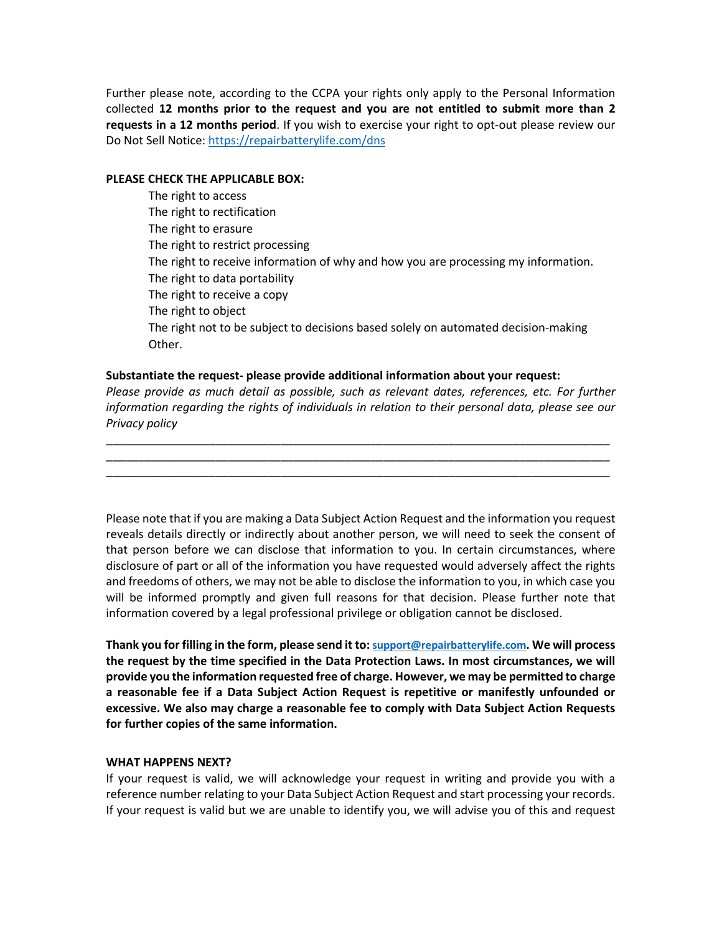Further please note, according to the CCPA your rights only apply to the Personal Information collected **12 months prior to the request and you are not entitled to submit more than 2 requests in a 12 months period**. If you wish to exercise your right to opt-out please review our Do Not Sell Notice: https://repairbatterylife.com/dns

#### **PLEASE CHECK THE APPLICABLE BOX:**

 The right to access The right to rectification The right to erasure The right to restrict processing The right to receive information of why and how you are processing my information. The right to data portability The right to receive a copy The right to object The right not to be subject to decisions based solely on automated decision-making Other.

## **Substantiate the request- please provide additional information about your request:**

*Please provide as much detail as possible, such as relevant dates, references, etc. For further information regarding the rights of individuals in relation to their personal data, please see our Privacy policy*

\_\_\_\_\_\_\_\_\_\_\_\_\_\_\_\_\_\_\_\_\_\_\_\_\_\_\_\_\_\_\_\_\_\_\_\_\_\_\_\_\_\_\_\_\_\_\_\_\_\_\_\_\_\_\_\_\_\_\_\_\_\_\_\_\_\_\_\_\_\_\_\_\_\_\_\_\_\_ \_\_\_\_\_\_\_\_\_\_\_\_\_\_\_\_\_\_\_\_\_\_\_\_\_\_\_\_\_\_\_\_\_\_\_\_\_\_\_\_\_\_\_\_\_\_\_\_\_\_\_\_\_\_\_\_\_\_\_\_\_\_\_\_\_\_\_\_\_\_\_\_\_\_\_\_\_\_ \_\_\_\_\_\_\_\_\_\_\_\_\_\_\_\_\_\_\_\_\_\_\_\_\_\_\_\_\_\_\_\_\_\_\_\_\_\_\_\_\_\_\_\_\_\_\_\_\_\_\_\_\_\_\_\_\_\_\_\_\_\_\_\_\_\_\_\_\_\_\_\_\_\_\_\_\_\_

Please note that if you are making a Data Subject Action Request and the information you request reveals details directly or indirectly about another person, we will need to seek the consent of that person before we can disclose that information to you. In certain circumstances, where disclosure of part or all of the information you have requested would adversely affect the rights and freedoms of others, we may not be able to disclose the information to you, in which case you will be informed promptly and given full reasons for that decision. Please further note that information covered by a legal professional privilege or obligation cannot be disclosed.

**Thank you for filling in the form, please send it to: support@repairbatterylife.com. We will process the request by the time specified in the Data Protection Laws. In most circumstances, we will provide you the information requested free of charge. However, we may be permitted to charge a reasonable fee if a Data Subject Action Request is repetitive or manifestly unfounded or excessive. We also may charge a reasonable fee to comply with Data Subject Action Requests for further copies of the same information.** 

#### **WHAT HAPPENS NEXT?**

If your request is valid, we will acknowledge your request in writing and provide you with a reference number relating to your Data Subject Action Request and start processing your records. If your request is valid but we are unable to identify you, we will advise you of this and request